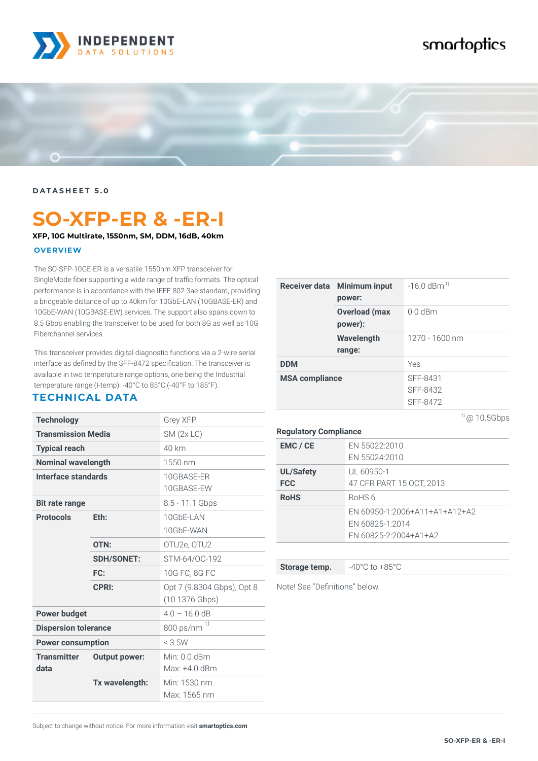

## smartoptics



**DATASHEET 5.0**

# **SO-XFP-ER & -ER-I**

#### **XFP, 10G Multirate, 1550nm, SM, DDM, 16dB, 40km**

#### **OVERVIEW**

The SO-SFP-10GE-ER is a versatile 1550nm XFP transceiver for SingleMode fiber supporting a wide range of traffic formats. The optical performance is in accordance with the IEEE 802.3ae standard, providing a bridgeable distance of up to 40km for 10GbE-LAN (10GBASE-ER) and 10GbE-WAN (10GBASE-EW) services. The support also spans down to 8.5 Gbps enabling the transceiver to be used for both 8G as well as 10G Fiberchannel services.

This transceiver provides digital diagnostic functions via a 2-wire serial interface as defined by the SFF-8472 specification. The transceiver is available in two temperature range options, one being the Industrial temperature range (I-temp): -40°C to 85°C (-40°F to 185°F).

### **TECHNICAL DATA**

| <b>Technology</b>           |                      | <b>Grey XFP</b>                                |
|-----------------------------|----------------------|------------------------------------------------|
| <b>Transmission Media</b>   |                      | SM(2x LC)                                      |
| <b>Typical reach</b>        |                      | 40 km                                          |
| <b>Nominal wavelength</b>   |                      | 1550 nm                                        |
| Interface standards         |                      | 10GBASE-ER<br>10GBASE-EW                       |
| <b>Bit rate range</b>       |                      | 8.5 - 11.1 Gbps                                |
| <b>Protocols</b>            | Eth:                 | 10GbF-LAN                                      |
|                             |                      | 10GhF-WAN                                      |
|                             | OTN:                 | OTU2e, OTU2                                    |
|                             | <b>SDH/SONET:</b>    | STM-64/OC-192                                  |
|                             | FC:                  | 10G FC, 8G FC                                  |
|                             | <b>CPRI:</b>         | Opt 7 (9.8304 Gbps), Opt 8<br>$(10.1376$ Gbps) |
| <b>Power budget</b>         |                      | $4.0 - 16.0$ dB                                |
| <b>Dispersion tolerance</b> |                      | 800 ps/nm <sup>1)</sup>                        |
| <b>Power consumption</b>    |                      | $<$ 3.5 $W$                                    |
| <b>Transmitter</b>          | <b>Output power:</b> | Min: $0.0$ dBm                                 |
| data                        |                      | Max: +4.0 dBm                                  |
|                             | Tx wavelength:       | Min: 1530 nm                                   |
|                             |                      | Max: 1565 nm                                   |

| Receiver data Minimum input<br>power: | $-16.0$ dBm <sup>1)</sup>        |
|---------------------------------------|----------------------------------|
| <b>Overload (max</b><br>power):       | $0.0$ dBm                        |
| Wavelength<br>range:                  | 1270 - 1600 nm                   |
| <b>DDM</b>                            | Yes                              |
| <b>MSA compliance</b>                 | SFF-8431<br>SFF-8432<br>SFF-8472 |

 $10.5Gbps$ 

#### **Regulatory Compliance**

| EMC / CE                       | EN 55022:2010<br>EN 55024:2010                                            |
|--------------------------------|---------------------------------------------------------------------------|
| <b>UL/Safety</b><br><b>FCC</b> | UL 60950-1<br>47 CFR PART 15 OCT, 2013                                    |
| <b>RoHS</b>                    | RoHS 6                                                                    |
|                                | EN 60950-1:2006+A11+A1+A12+A2<br>EN 60825-1:2014<br>EN 60825-2:2004+A1+A2 |

**Storage temp.**  $-40^{\circ}$ C to  $+85^{\circ}$ C

Note! See "Definitions" below.